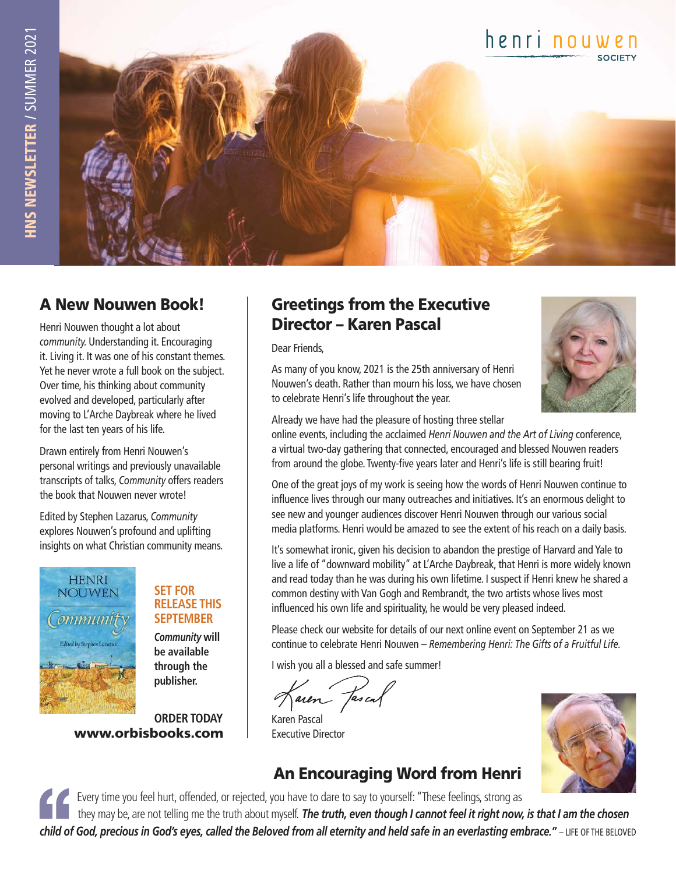

#### A New Nouwen Book!

Henri Nouwen thought a lot about *community.* Understanding it. Encouraging it. Living it. It was one of his constant themes. Yet he never wrote a full book on the subject. Over time, his thinking about community evolved and developed, particularly after moving to L'Arche Daybreak where he lived for the last ten years of his life.

Drawn entirely from Henri Nouwen's personal writings and previously unavailable transcripts of talks, *Community* offers readers the book that Nouwen never wrote!

Edited by Stephen Lazarus, *Community*  explores Nouwen's profound and uplifting insights on what Christian community means.



#### **SET FOR RELEASE THIS SEPTEMBER**

 *Community* **will be available through the publisher.**

www.orbisbooks.com **ORDER TODAY**

#### Greetings from the Executive Director – Karen Pascal

Dear Friends,

As many of you know, 2021 is the 25th anniversary of Henri Nouwen's death. Rather than mourn his loss, we have chosen to celebrate Henri's life throughout the year.



Already we have had the pleasure of hosting three stellar

online events, including the acclaimed *Henri Nouwen and the Art of Living* conference, a virtual two-day gathering that connected, encouraged and blessed Nouwen readers from around the globe. Twenty-five years later and Henri's life is still bearing fruit!

One of the great joys of my work is seeing how the words of Henri Nouwen continue to influence lives through our many outreaches and initiatives. It's an enormous delight to see new and younger audiences discover Henri Nouwen through our various social media platforms. Henri would be amazed to see the extent of his reach on a daily basis.

It's somewhat ironic, given his decision to abandon the prestige of Harvard and Yale to live a life of "downward mobility" at L'Arche Daybreak, that Henri is more widely known and read today than he was during his own lifetime. I suspect if Henri knew he shared a common destiny with Van Gogh and Rembrandt, the two artists whose lives most influenced his own life and spirituality, he would be very pleased indeed.

Please check our website for details of our next online event on September 21 as we continue to celebrate Henri Nouwen – *Remembering Henri: The Gifts of a Fruitful Life.*

I wish you all a blessed and safe summer!

faien fascal

Karen Pascal Executive Director

## An Encouraging Word from Henri



Every time you feel hurt, offended, or rejected, you have to dare to say to yourself: "These feelings, strong as

 they may be, are not telling me the truth about myself. *The truth, even though I cannot feel it right now, is that I am the chosen child of God, precious in God's eyes, called the Beloved from all eternity and held safe in an everlasting embrace."* – LIFE OF THE BELOVED